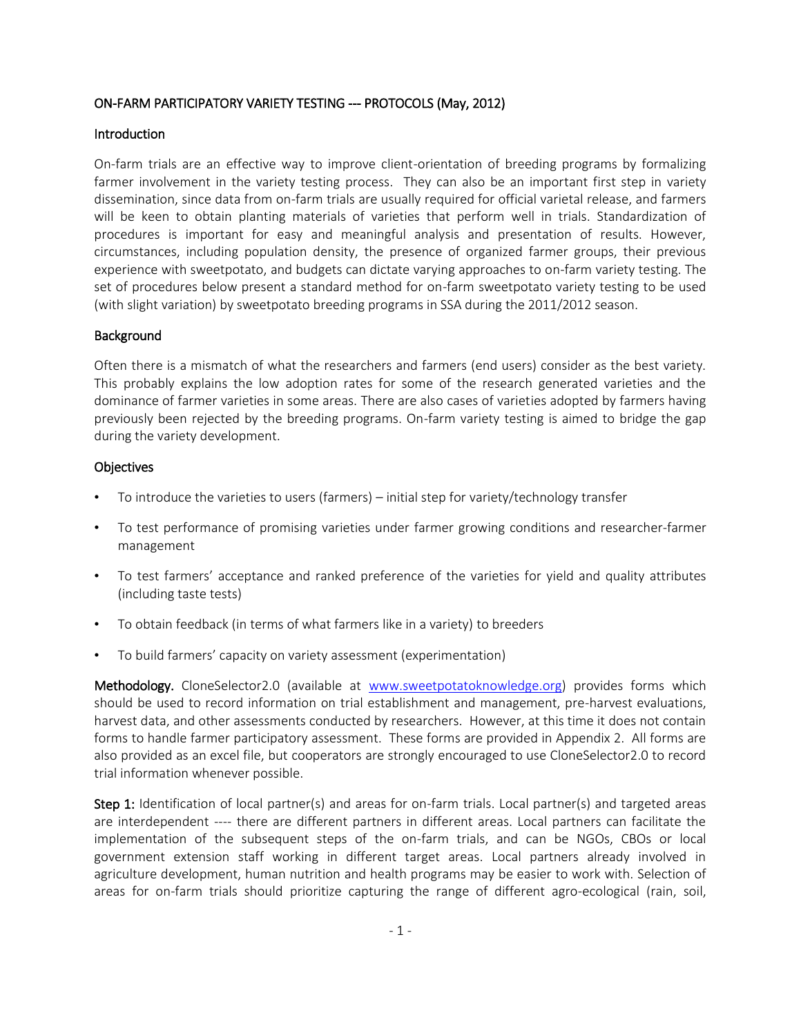### ON-FARM PARTICIPATORY VARIETY TESTING --- PROTOCOLS (May, 2012)

### **Introduction**

On-farm trials are an effective way to improve client-orientation of breeding programs by formalizing farmer involvement in the variety testing process. They can also be an important first step in variety dissemination, since data from on-farm trials are usually required for official varietal release, and farmers will be keen to obtain planting materials of varieties that perform well in trials. Standardization of procedures is important for easy and meaningful analysis and presentation of results. However, circumstances, including population density, the presence of organized farmer groups, their previous experience with sweetpotato, and budgets can dictate varying approaches to on-farm variety testing. The set of procedures below present a standard method for on-farm sweetpotato variety testing to be used (with slight variation) by sweetpotato breeding programs in SSA during the 2011/2012 season.

### Background

Often there is a mismatch of what the researchers and farmers (end users) consider as the best variety. This probably explains the low adoption rates for some of the research generated varieties and the dominance of farmer varieties in some areas. There are also cases of varieties adopted by farmers having previously been rejected by the breeding programs. On-farm variety testing is aimed to bridge the gap during the variety development.

### **Objectives**

- To introduce the varieties to users (farmers) initial step for variety/technology transfer
- To test performance of promising varieties under farmer growing conditions and researcher-farmer management
- To test farmers' acceptance and ranked preference of the varieties for yield and quality attributes (including taste tests)
- To obtain feedback (in terms of what farmers like in a variety) to breeders
- To build farmers' capacity on variety assessment (experimentation)

Methodology. CloneSelector2.0 (available at [www.sweetpotatoknowledge.org\)](http://www.sweetpotatoknowledege.org/) provides forms which should be used to record information on trial establishment and management, pre-harvest evaluations, harvest data, and other assessments conducted by researchers. However, at this time it does not contain forms to handle farmer participatory assessment. These forms are provided in Appendix 2. All forms are also provided as an excel file, but cooperators are strongly encouraged to use CloneSelector2.0 to record trial information whenever possible.

Step 1: Identification of local partner(s) and areas for on-farm trials. Local partner(s) and targeted areas are interdependent ---- there are different partners in different areas. Local partners can facilitate the implementation of the subsequent steps of the on-farm trials, and can be NGOs, CBOs or local government extension staff working in different target areas. Local partners already involved in agriculture development, human nutrition and health programs may be easier to work with. Selection of areas for on-farm trials should prioritize capturing the range of different agro-ecological (rain, soil,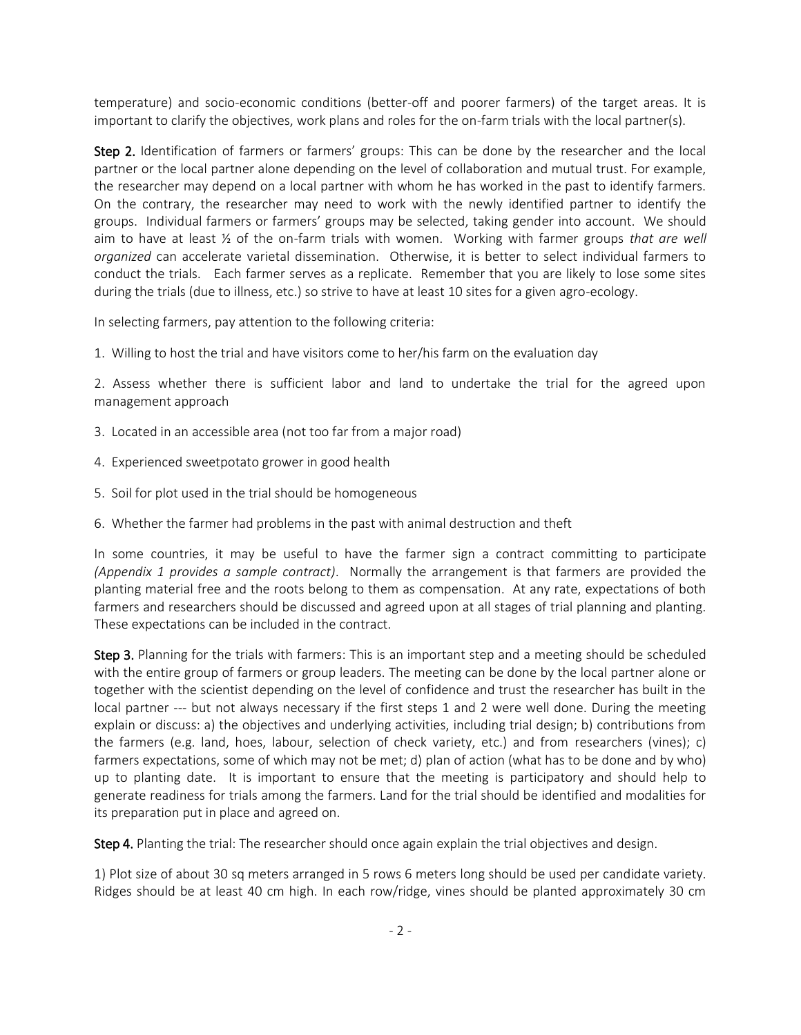temperature) and socio-economic conditions (better-off and poorer farmers) of the target areas. It is important to clarify the objectives, work plans and roles for the on-farm trials with the local partner(s).

Step 2. Identification of farmers or farmers' groups: This can be done by the researcher and the local partner or the local partner alone depending on the level of collaboration and mutual trust. For example, the researcher may depend on a local partner with whom he has worked in the past to identify farmers. On the contrary, the researcher may need to work with the newly identified partner to identify the groups. Individual farmers or farmers' groups may be selected, taking gender into account. We should aim to have at least ½ of the on-farm trials with women. Working with farmer groups *that are well organized* can accelerate varietal dissemination. Otherwise, it is better to select individual farmers to conduct the trials. Each farmer serves as a replicate. Remember that you are likely to lose some sites during the trials (due to illness, etc.) so strive to have at least 10 sites for a given agro-ecology.

In selecting farmers, pay attention to the following criteria:

1. Willing to host the trial and have visitors come to her/his farm on the evaluation day

2. Assess whether there is sufficient labor and land to undertake the trial for the agreed upon management approach

- 3. Located in an accessible area (not too far from a major road)
- 4. Experienced sweetpotato grower in good health
- 5. Soil for plot used in the trial should be homogeneous
- 6. Whether the farmer had problems in the past with animal destruction and theft

In some countries, it may be useful to have the farmer sign a contract committing to participate *(Appendix 1 provides a sample contract)*. Normally the arrangement is that farmers are provided the planting material free and the roots belong to them as compensation. At any rate, expectations of both farmers and researchers should be discussed and agreed upon at all stages of trial planning and planting. These expectations can be included in the contract.

Step 3. Planning for the trials with farmers: This is an important step and a meeting should be scheduled with the entire group of farmers or group leaders. The meeting can be done by the local partner alone or together with the scientist depending on the level of confidence and trust the researcher has built in the local partner --- but not always necessary if the first steps 1 and 2 were well done. During the meeting explain or discuss: a) the objectives and underlying activities, including trial design; b) contributions from the farmers (e.g. land, hoes, labour, selection of check variety, etc.) and from researchers (vines); c) farmers expectations, some of which may not be met; d) plan of action (what has to be done and by who) up to planting date. It is important to ensure that the meeting is participatory and should help to generate readiness for trials among the farmers. Land for the trial should be identified and modalities for its preparation put in place and agreed on.

Step 4. Planting the trial: The researcher should once again explain the trial objectives and design.

1) Plot size of about 30 sq meters arranged in 5 rows 6 meters long should be used per candidate variety. Ridges should be at least 40 cm high. In each row/ridge, vines should be planted approximately 30 cm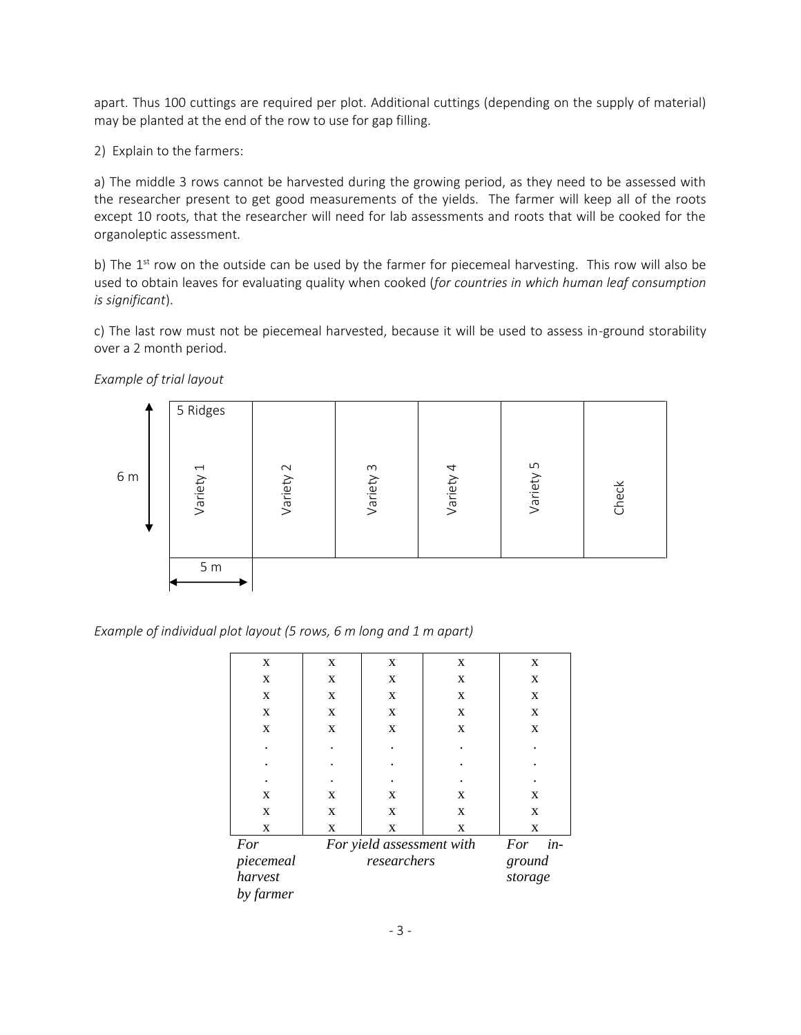apart. Thus 100 cuttings are required per plot. Additional cuttings (depending on the supply of material) may be planted at the end of the row to use for gap filling.

2) Explain to the farmers:

a) The middle 3 rows cannot be harvested during the growing period, as they need to be assessed with the researcher present to get good measurements of the yields. The farmer will keep all of the roots except 10 roots, that the researcher will need for lab assessments and roots that will be cooked for the organoleptic assessment.

b) The 1<sup>st</sup> row on the outside can be used by the farmer for piecemeal harvesting. This row will also be used to obtain leaves for evaluating quality when cooked (*for countries in which human leaf consumption is significant*).

c) The last row must not be piecemeal harvested, because it will be used to assess in-ground storability over a 2 month period.

*Example of trial layout*



*Example of individual plot layout (5 rows, 6 m long and 1 m apart)*

| $\mathbf X$ | $\mathbf X$ | X                         | $\mathbf X$ | X             |  |  |  |
|-------------|-------------|---------------------------|-------------|---------------|--|--|--|
| $\mathbf X$ | $\mathbf X$ | $\mathbf X$               | X           | $\mathbf X$   |  |  |  |
| X           | $\mathbf X$ | X                         | X           | X             |  |  |  |
| X           | $\mathbf X$ | X                         | X           | $\mathbf X$   |  |  |  |
| $\mathbf X$ | $\mathbf X$ | X                         | X           | $\mathbf{x}$  |  |  |  |
|             |             |                           |             |               |  |  |  |
|             |             |                           |             |               |  |  |  |
|             |             |                           |             |               |  |  |  |
| X           | $\mathbf X$ | X                         | X           | X             |  |  |  |
| $\mathbf X$ | X           | $\mathbf X$               | $\mathbf X$ | X             |  |  |  |
| X           | $\mathbf X$ | X                         | X           | X             |  |  |  |
| For         |             | For yield assessment with |             | $in$ -<br>For |  |  |  |
| piecemeal   |             | researchers               |             |               |  |  |  |
| harvest     |             |                           |             | storage       |  |  |  |
| by farmer   |             |                           |             |               |  |  |  |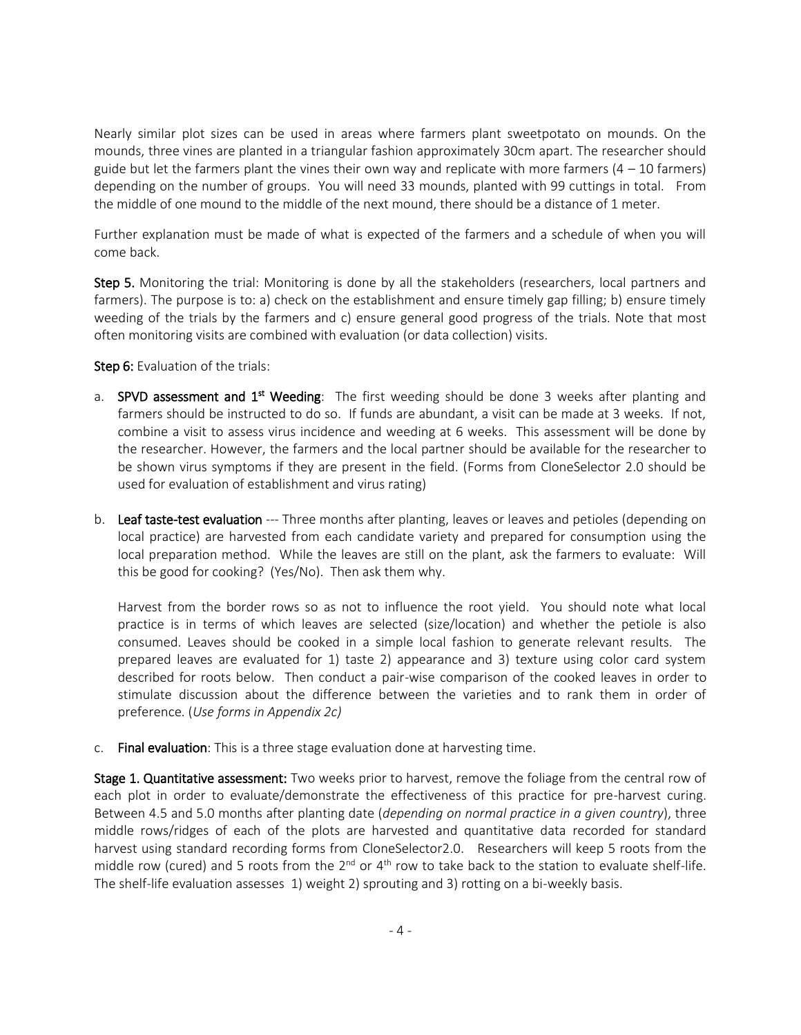Nearly similar plot sizes can be used in areas where farmers plant sweetpotato on mounds. On the mounds, three vines are planted in a triangular fashion approximately 30cm apart. The researcher should guide but let the farmers plant the vines their own way and replicate with more farmers  $(4 - 10$  farmers) depending on the number of groups. You will need 33 mounds, planted with 99 cuttings in total. From the middle of one mound to the middle of the next mound, there should be a distance of 1 meter.

Further explanation must be made of what is expected of the farmers and a schedule of when you will come back.

Step 5. Monitoring the trial: Monitoring is done by all the stakeholders (researchers, local partners and farmers). The purpose is to: a) check on the establishment and ensure timely gap filling; b) ensure timely weeding of the trials by the farmers and c) ensure general good progress of the trials. Note that most often monitoring visits are combined with evaluation (or data collection) visits.

#### Step 6: Evaluation of the trials:

- a. SPVD assessment and 1<sup>st</sup> Weeding: The first weeding should be done 3 weeks after planting and farmers should be instructed to do so. If funds are abundant, a visit can be made at 3 weeks. If not, combine a visit to assess virus incidence and weeding at 6 weeks. This assessment will be done by the researcher. However, the farmers and the local partner should be available for the researcher to be shown virus symptoms if they are present in the field. (Forms from CloneSelector 2.0 should be used for evaluation of establishment and virus rating)
- b. Leaf taste-test evaluation --- Three months after planting, leaves or leaves and petioles (depending on local practice) are harvested from each candidate variety and prepared for consumption using the local preparation method. While the leaves are still on the plant, ask the farmers to evaluate: Will this be good for cooking? (Yes/No). Then ask them why.

Harvest from the border rows so as not to influence the root yield. You should note what local practice is in terms of which leaves are selected (size/location) and whether the petiole is also consumed. Leaves should be cooked in a simple local fashion to generate relevant results. The prepared leaves are evaluated for 1) taste 2) appearance and 3) texture using color card system described for roots below. Then conduct a pair-wise comparison of the cooked leaves in order to stimulate discussion about the difference between the varieties and to rank them in order of preference. (*Use forms in Appendix 2c)*

c. Final evaluation: This is a three stage evaluation done at harvesting time.

**Stage 1. Quantitative assessment:** Two weeks prior to harvest, remove the foliage from the central row of each plot in order to evaluate/demonstrate the effectiveness of this practice for pre-harvest curing. Between 4.5 and 5.0 months after planting date (*depending on normal practice in a given country*), three middle rows/ridges of each of the plots are harvested and quantitative data recorded for standard harvest using standard recording forms from CloneSelector2.0. Researchers will keep 5 roots from the middle row (cured) and 5 roots from the  $2^{nd}$  or  $4^{th}$  row to take back to the station to evaluate shelf-life. The shelf-life evaluation assesses 1) weight 2) sprouting and 3) rotting on a bi-weekly basis.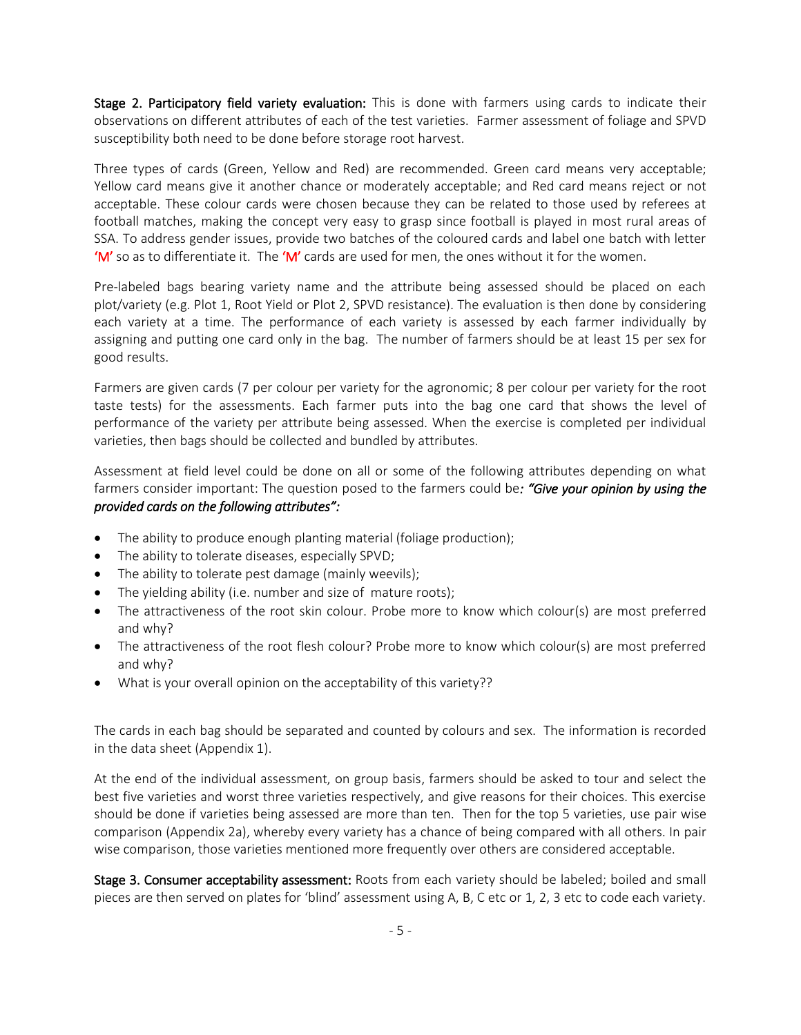Stage 2. Participatory field variety evaluation: This is done with farmers using cards to indicate their observations on different attributes of each of the test varieties. Farmer assessment of foliage and SPVD susceptibility both need to be done before storage root harvest.

Three types of cards (Green, Yellow and Red) are recommended. Green card means very acceptable; Yellow card means give it another chance or moderately acceptable; and Red card means reject or not acceptable. These colour cards were chosen because they can be related to those used by referees at football matches, making the concept very easy to grasp since football is played in most rural areas of SSA. To address gender issues, provide two batches of the coloured cards and label one batch with letter 'M' so as to differentiate it. The 'M' cards are used for men, the ones without it for the women.

Pre-labeled bags bearing variety name and the attribute being assessed should be placed on each plot/variety (e.g. Plot 1, Root Yield or Plot 2, SPVD resistance). The evaluation is then done by considering each variety at a time. The performance of each variety is assessed by each farmer individually by assigning and putting one card only in the bag. The number of farmers should be at least 15 per sex for good results.

Farmers are given cards (7 per colour per variety for the agronomic; 8 per colour per variety for the root taste tests) for the assessments. Each farmer puts into the bag one card that shows the level of performance of the variety per attribute being assessed. When the exercise is completed per individual varieties, then bags should be collected and bundled by attributes.

Assessment at field level could be done on all or some of the following attributes depending on what farmers consider important: The question posed to the farmers could be*: "Give your opinion by using the provided cards on the following attributes":* 

- The ability to produce enough planting material (foliage production);
- The ability to tolerate diseases, especially SPVD;
- The ability to tolerate pest damage (mainly weevils);
- The yielding ability (i.e. number and size of mature roots);
- The attractiveness of the root skin colour. Probe more to know which colour(s) are most preferred and why?
- The attractiveness of the root flesh colour? Probe more to know which colour(s) are most preferred and why?
- What is your overall opinion on the acceptability of this variety??

The cards in each bag should be separated and counted by colours and sex. The information is recorded in the data sheet (Appendix 1).

At the end of the individual assessment, on group basis, farmers should be asked to tour and select the best five varieties and worst three varieties respectively, and give reasons for their choices. This exercise should be done if varieties being assessed are more than ten. Then for the top 5 varieties, use pair wise comparison (Appendix 2a), whereby every variety has a chance of being compared with all others. In pair wise comparison, those varieties mentioned more frequently over others are considered acceptable.

Stage 3. Consumer acceptability assessment: Roots from each variety should be labeled; boiled and small pieces are then served on plates for 'blind' assessment using A, B, C etc or 1, 2, 3 etc to code each variety.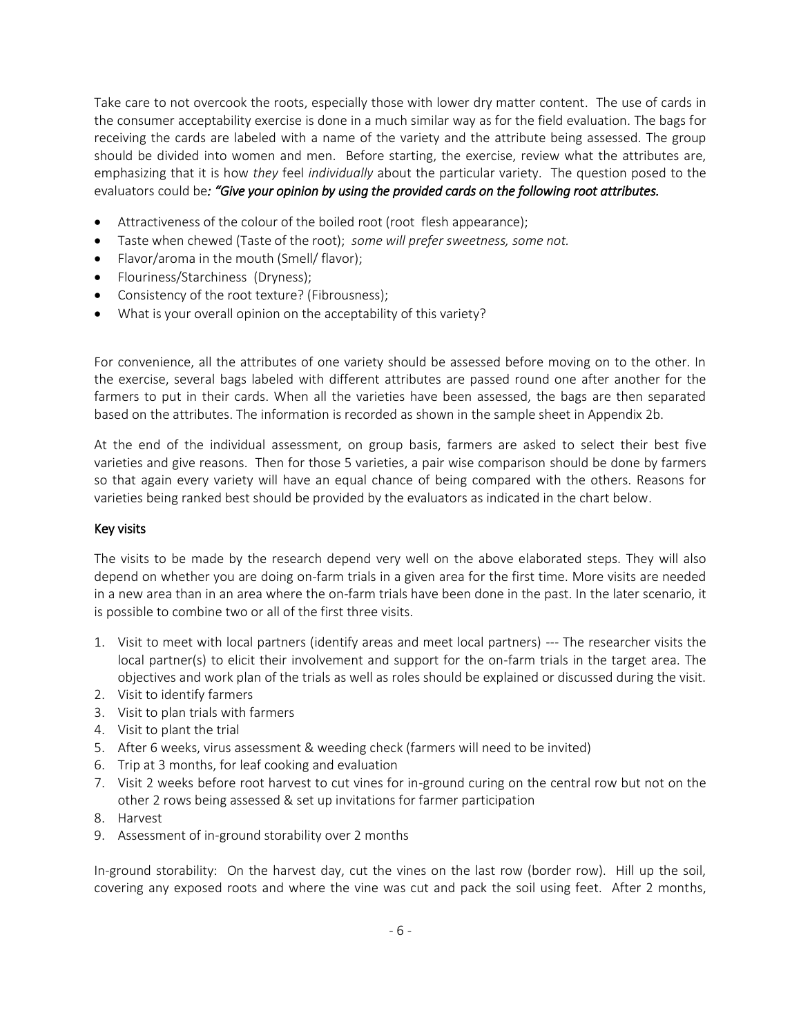Take care to not overcook the roots, especially those with lower dry matter content. The use of cards in the consumer acceptability exercise is done in a much similar way as for the field evaluation. The bags for receiving the cards are labeled with a name of the variety and the attribute being assessed. The group should be divided into women and men. Before starting, the exercise, review what the attributes are, emphasizing that it is how *they* feel *individually* about the particular variety. The question posed to the evaluators could be*: "Give your opinion by using the provided cards on the following root attributes.* 

- Attractiveness of the colour of the boiled root (root flesh appearance);
- Taste when chewed (Taste of the root); *some will prefer sweetness, some not.*
- Flavor/aroma in the mouth (Smell/ flavor);
- Flouriness/Starchiness (Dryness);
- Consistency of the root texture? (Fibrousness);
- What is your overall opinion on the acceptability of this variety?

For convenience, all the attributes of one variety should be assessed before moving on to the other. In the exercise, several bags labeled with different attributes are passed round one after another for the farmers to put in their cards. When all the varieties have been assessed, the bags are then separated based on the attributes. The information is recorded as shown in the sample sheet in Appendix 2b.

At the end of the individual assessment, on group basis, farmers are asked to select their best five varieties and give reasons. Then for those 5 varieties, a pair wise comparison should be done by farmers so that again every variety will have an equal chance of being compared with the others. Reasons for varieties being ranked best should be provided by the evaluators as indicated in the chart below.

#### Key visits

The visits to be made by the research depend very well on the above elaborated steps. They will also depend on whether you are doing on-farm trials in a given area for the first time. More visits are needed in a new area than in an area where the on-farm trials have been done in the past. In the later scenario, it is possible to combine two or all of the first three visits.

- 1. Visit to meet with local partners (identify areas and meet local partners) --- The researcher visits the local partner(s) to elicit their involvement and support for the on-farm trials in the target area. The objectives and work plan of the trials as well as roles should be explained or discussed during the visit.
- 2. Visit to identify farmers
- 3. Visit to plan trials with farmers
- 4. Visit to plant the trial
- 5. After 6 weeks, virus assessment & weeding check (farmers will need to be invited)
- 6. Trip at 3 months, for leaf cooking and evaluation
- 7. Visit 2 weeks before root harvest to cut vines for in-ground curing on the central row but not on the other 2 rows being assessed & set up invitations for farmer participation
- 8. Harvest
- 9. Assessment of in-ground storability over 2 months

In-ground storability: On the harvest day, cut the vines on the last row (border row). Hill up the soil, covering any exposed roots and where the vine was cut and pack the soil using feet. After 2 months,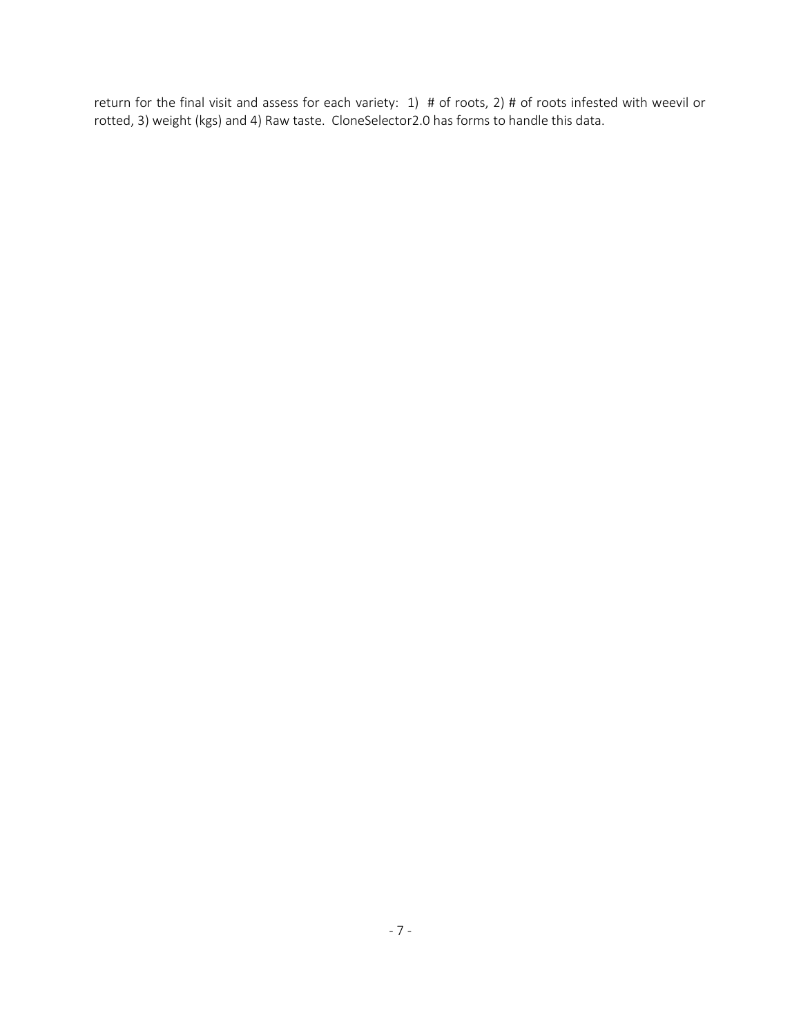return for the final visit and assess for each variety: 1) # of roots, 2) # of roots infested with weevil or rotted, 3) weight (kgs) and 4) Raw taste. CloneSelector2.0 has forms to handle this data.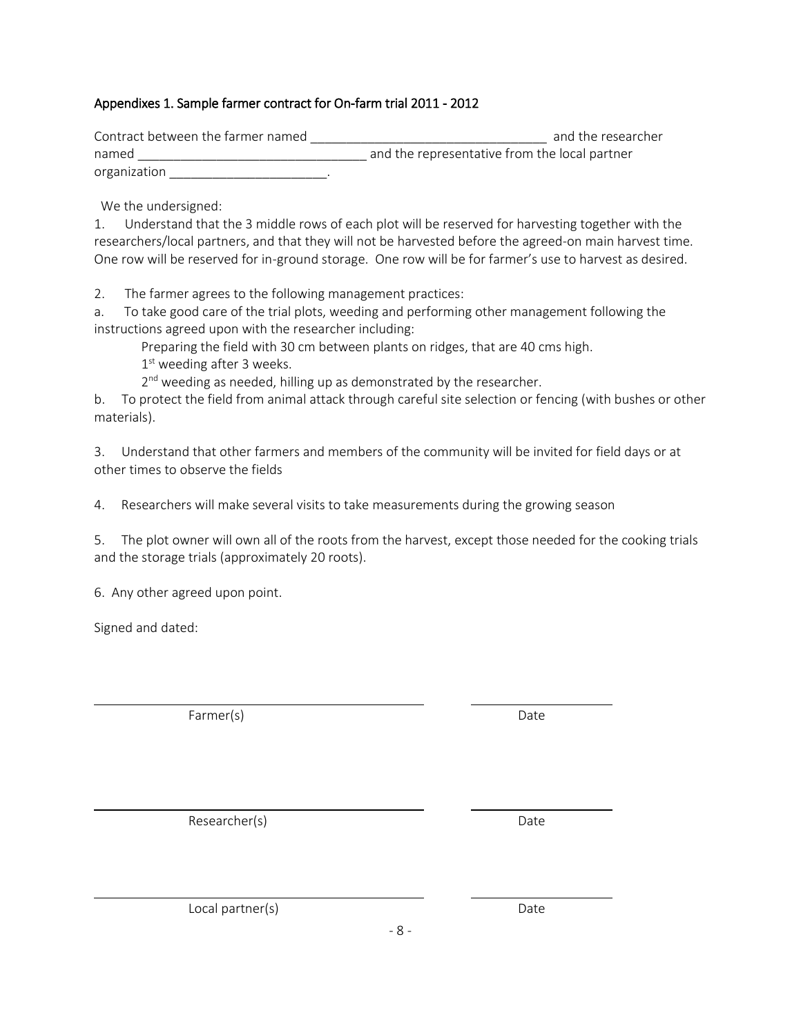## Appendixes 1. Sample farmer contract for On-farm trial 2011 - 2012

| Contract between the farmer named | and the researcher                            |
|-----------------------------------|-----------------------------------------------|
| named                             | and the representative from the local partner |
| organization                      |                                               |

We the undersigned:

1. Understand that the 3 middle rows of each plot will be reserved for harvesting together with the researchers/local partners, and that they will not be harvested before the agreed-on main harvest time. One row will be reserved for in-ground storage. One row will be for farmer's use to harvest as desired.

2. The farmer agrees to the following management practices:

a. To take good care of the trial plots, weeding and performing other management following the instructions agreed upon with the researcher including:

Preparing the field with 30 cm between plants on ridges, that are 40 cms high.

1st weeding after 3 weeks.

2<sup>nd</sup> weeding as needed, hilling up as demonstrated by the researcher.

b. To protect the field from animal attack through careful site selection or fencing (with bushes or other materials).

3. Understand that other farmers and members of the community will be invited for field days or at other times to observe the fields

4. Researchers will make several visits to take measurements during the growing season

5. The plot owner will own all of the roots from the harvest, except those needed for the cooking trials and the storage trials (approximately 20 roots).

6. Any other agreed upon point.

Signed and dated:

Farmer(s) Date

Researcher(s) Date

Local partner(s) and the contract of the Date of Date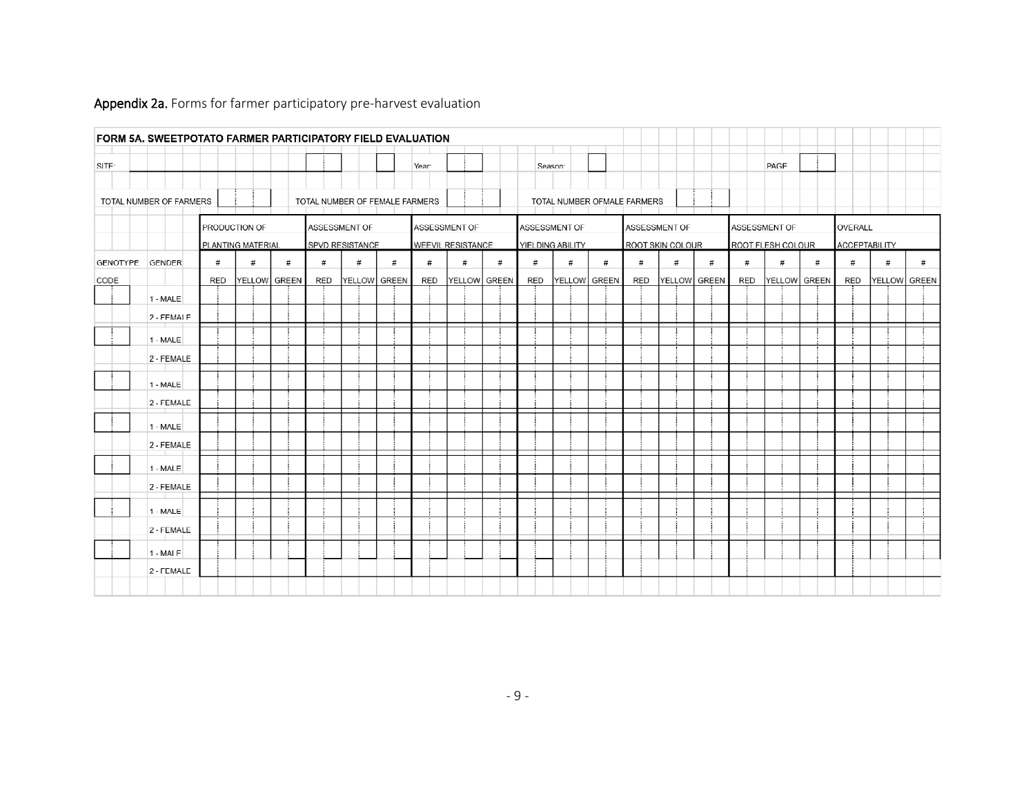|          | FORM 5A. SWEETPOTATO FARMER PARTICIPATORY FIELD EVALUATION |     |                                    |              |     |                                  |   |       |                                    |   |     |                                   |              |                             |                                   |   |     |                                    |   |         |                      |              |
|----------|------------------------------------------------------------|-----|------------------------------------|--------------|-----|----------------------------------|---|-------|------------------------------------|---|-----|-----------------------------------|--------------|-----------------------------|-----------------------------------|---|-----|------------------------------------|---|---------|----------------------|--------------|
| SITE:    |                                                            |     |                                    |              |     |                                  |   | Year: |                                    |   |     | Season:                           |              |                             |                                   |   |     | PAGE                               |   |         |                      |              |
|          | TOTAL NUMBER OF FARMERS                                    |     |                                    |              |     | TOTAL NUMBER OF FEMALE FARMERS   |   |       |                                    |   |     |                                   |              | TOTAL NUMBER OFMALE FARMERS |                                   |   |     |                                    |   |         |                      |              |
|          |                                                            |     | PRODUCTION OF<br>PLANTING MATERIAL |              |     | ASSESSMENT OF<br>SPVD RESISTANCE |   |       | ASSESSMENT OF<br>WEEVIL RESISTANCE |   |     | ASSESSMENT OF<br>YIELDING ABILITY |              |                             | ASSESSMENT OF<br>ROOT SKIN COLOUR |   |     | ASSESSMENT OF<br>ROOT FLESH COLOUR |   | OVERALL | <b>ACCEPTABILITY</b> |              |
| GENOTYPE | <b>GENDER</b>                                              | #   | #                                  | #            | #   | #                                | # | #     | #                                  | # | #   | $\#$                              | $\#$         | $^{\#}$                     | #                                 | # | #   | #                                  | # | #       | $\#$                 | #            |
| CODE     |                                                            | RED |                                    | YELLOW GREEN | RED | YELLOW GREEN                     |   | RED   | YELLOW GREEN                       |   | RED |                                   | YELLOW GREEN | RED                         | YELLOW GREEN                      |   | RED | YELLOW GREEN                       |   | RED     |                      | YELLOW GREEN |
|          | $1 - MALE$                                                 |     |                                    |              |     |                                  |   |       |                                    |   |     |                                   |              |                             |                                   |   |     |                                    |   |         |                      |              |
|          | 2 - FEMALE                                                 |     |                                    |              |     |                                  |   |       |                                    |   |     |                                   |              |                             |                                   |   |     |                                    |   |         |                      |              |
|          | $1 - MALE$                                                 |     |                                    |              |     |                                  |   |       |                                    |   |     |                                   |              |                             |                                   |   |     |                                    |   |         |                      |              |
|          | 2 - FEMALE                                                 |     |                                    |              |     |                                  |   |       |                                    |   |     |                                   |              |                             |                                   |   |     |                                    |   |         |                      |              |
|          | $1 - MALE$                                                 |     |                                    |              |     |                                  |   |       |                                    |   |     |                                   |              |                             |                                   |   |     |                                    |   |         |                      |              |
|          | 2 - FEMALE                                                 |     |                                    |              |     |                                  |   |       |                                    |   |     |                                   |              |                             |                                   |   |     |                                    |   |         |                      |              |
|          | $1 - MALE$                                                 |     |                                    |              |     |                                  |   |       |                                    |   |     |                                   |              |                             |                                   |   |     |                                    |   |         |                      |              |
|          | 2 - FEMALE                                                 |     |                                    |              |     |                                  |   |       |                                    |   |     |                                   |              |                             |                                   |   |     |                                    |   |         |                      |              |
|          | $1 - MALE$                                                 |     |                                    |              |     |                                  |   |       |                                    |   |     |                                   |              |                             |                                   |   |     |                                    |   |         |                      |              |
|          | 2 - FEMALE                                                 |     |                                    |              |     |                                  |   |       |                                    |   |     |                                   |              |                             |                                   |   |     |                                    |   |         |                      |              |
|          | $1 - MALE$                                                 |     |                                    |              |     |                                  |   |       |                                    |   |     |                                   |              |                             |                                   |   |     |                                    |   |         |                      |              |
|          | 2 - FEMALE                                                 |     |                                    |              |     |                                  |   |       |                                    |   |     |                                   |              |                             |                                   |   |     |                                    |   |         |                      |              |
|          | $1 - MALE$                                                 |     |                                    |              |     |                                  |   |       |                                    |   |     |                                   |              |                             |                                   |   |     |                                    |   |         |                      |              |
|          | 2 - FEMALE                                                 |     |                                    |              |     |                                  |   |       |                                    |   |     |                                   |              |                             |                                   |   |     |                                    |   |         |                      |              |
|          |                                                            |     |                                    |              |     |                                  |   |       |                                    |   |     |                                   |              |                             |                                   |   |     |                                    |   |         |                      |              |

## Appendix 2a. Forms for farmer participatory pre-harvest evaluation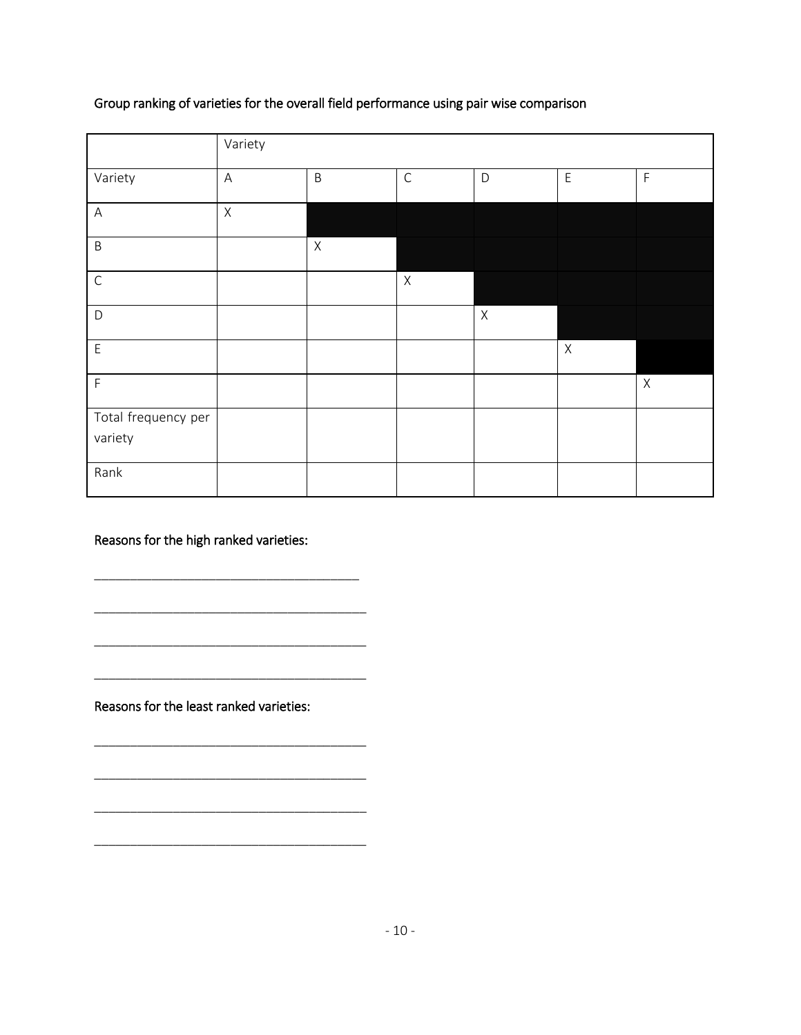# Group ranking of varieties for the overall field performance using pair wise comparison

|                                | Variety                   |             |             |             |             |             |
|--------------------------------|---------------------------|-------------|-------------|-------------|-------------|-------------|
| Variety                        | $\boldsymbol{\mathsf{A}}$ | $\sf B$     | $\mathsf C$ | $\mathsf D$ | $\mathsf E$ | $\mathsf F$ |
| $\mathsf{A}$                   | $\mathsf X$               |             |             |             |             |             |
| $\sf B$                        |                           | $\mathsf X$ |             |             |             |             |
| $\mathsf C$                    |                           |             | $\mathsf X$ |             |             |             |
| D                              |                           |             |             | $\mathsf X$ |             |             |
| $\overline{E}$                 |                           |             |             |             | $\mathsf X$ |             |
| $\mathsf F$                    |                           |             |             |             |             | $\mathsf X$ |
| Total frequency per<br>variety |                           |             |             |             |             |             |
| Rank                           |                           |             |             |             |             |             |

Reasons for the high ranked varieties:

\_\_\_\_\_\_\_\_\_\_\_\_\_\_\_\_\_\_\_\_\_\_\_\_\_\_\_\_\_\_\_\_\_\_\_\_\_

\_\_\_\_\_\_\_\_\_\_\_\_\_\_\_\_\_\_\_\_\_\_\_\_\_\_\_\_\_\_\_\_\_\_\_\_\_\_

\_\_\_\_\_\_\_\_\_\_\_\_\_\_\_\_\_\_\_\_\_\_\_\_\_\_\_\_\_\_\_\_\_\_\_\_\_\_

\_\_\_\_\_\_\_\_\_\_\_\_\_\_\_\_\_\_\_\_\_\_\_\_\_\_\_\_\_\_\_\_\_\_\_\_\_\_

\_\_\_\_\_\_\_\_\_\_\_\_\_\_\_\_\_\_\_\_\_\_\_\_\_\_\_\_\_\_\_\_\_\_\_\_\_\_

\_\_\_\_\_\_\_\_\_\_\_\_\_\_\_\_\_\_\_\_\_\_\_\_\_\_\_\_\_\_\_\_\_\_\_\_\_\_

\_\_\_\_\_\_\_\_\_\_\_\_\_\_\_\_\_\_\_\_\_\_\_\_\_\_\_\_\_\_\_\_\_\_\_\_\_\_

\_\_\_\_\_\_\_\_\_\_\_\_\_\_\_\_\_\_\_\_\_\_\_\_\_\_\_\_\_\_\_\_\_\_\_\_\_\_

Reasons for the least ranked varieties: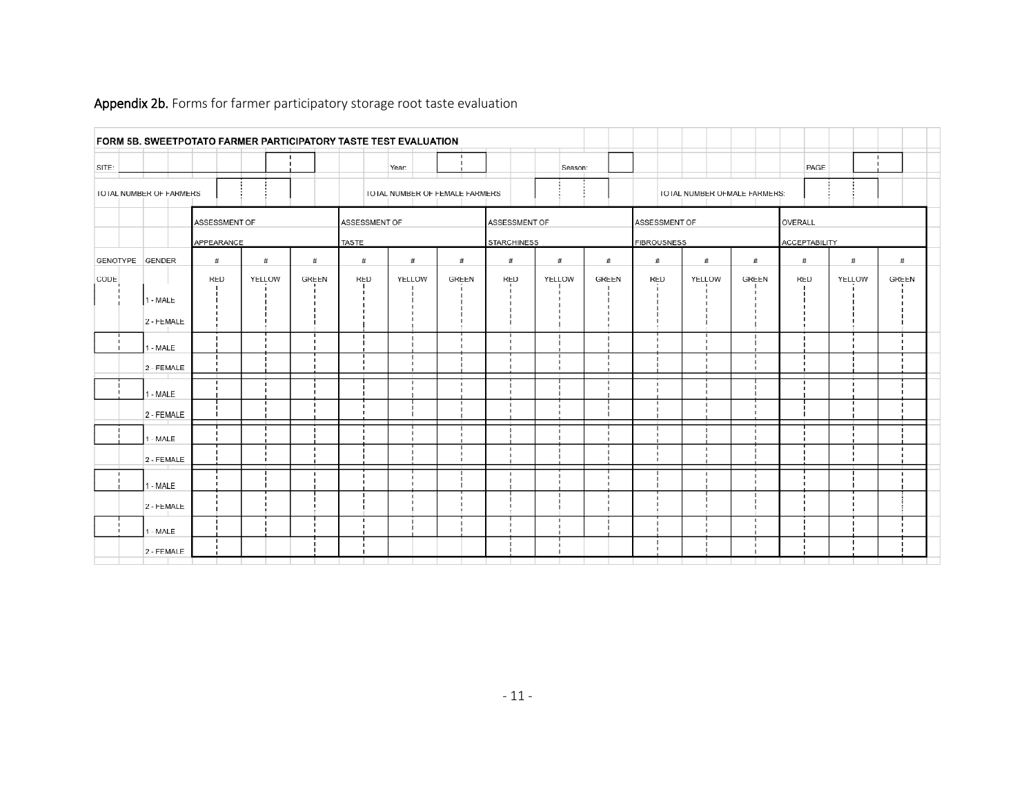|       | FORM 5B. SWEETPOTATO FARMER PARTICIPATORY TASTE TEST EVALUATION |               |                                                                |              |               |               |              |                    |         |              |                    |        |                                                    |                      |         |              |  |
|-------|-----------------------------------------------------------------|---------------|----------------------------------------------------------------|--------------|---------------|---------------|--------------|--------------------|---------|--------------|--------------------|--------|----------------------------------------------------|----------------------|---------|--------------|--|
| SITE: |                                                                 |               |                                                                |              |               | Year:         |              |                    | Season: |              |                    |        |                                                    | PAGE                 |         |              |  |
|       | <b>TOTAL NUMBER OF FARMERS</b>                                  |               | TOTAL NUMBER OF FEMALE FARMERS<br>TOTAL NUMBER OFMALE FARMERS: |              |               |               |              |                    |         |              |                    |        |                                                    |                      |         |              |  |
|       |                                                                 | ASSESSMENT OF |                                                                |              | ASSESSMENT OF |               |              | ASSESSMENT OF      |         |              | ASSESSMENT OF      |        |                                                    |                      | OVERALL |              |  |
|       |                                                                 | APPEARANCE    |                                                                |              | <b>TASTE</b>  |               |              | <b>STARCHINESS</b> |         |              | <b>FIBROUSNESS</b> |        |                                                    | <b>ACCEPTABILITY</b> |         |              |  |
|       | GENOTYPE GENDER                                                 | #             | $\#$                                                           | #            | $^{\#}$       | #             | #            | #                  | #       | #            | #                  | #      | #                                                  | #                    | #       | $\#$         |  |
| CODE  |                                                                 | <b>RED</b>    | YELLOW                                                         | <b>GREEN</b> | <b>RED</b>    | <b>YELLOW</b> | <b>GREEN</b> | <b>RED</b>         | YELLOW  | <b>GREEN</b> | <b>RED</b>         | YELLOW | <b>GREEN</b>                                       | <b>RED</b>           | YELLOW  | <b>GREEN</b> |  |
|       | 1 - MALE                                                        |               |                                                                |              |               |               |              |                    |         |              |                    |        | J.                                                 |                      |         |              |  |
|       | 2 - FEMALE                                                      |               |                                                                |              |               |               |              |                    |         |              |                    |        |                                                    |                      |         |              |  |
|       | 1 - MALE                                                        |               |                                                                |              |               |               |              |                    |         |              |                    |        | J.                                                 |                      |         |              |  |
|       | 2 - FEMALE                                                      |               |                                                                |              |               |               |              |                    |         |              |                    |        | $\blacksquare$<br>$\blacksquare$<br>$\blacksquare$ |                      |         |              |  |
|       | 1 - MALE                                                        |               |                                                                |              |               |               |              |                    |         |              |                    |        |                                                    |                      |         |              |  |
|       | 2 - FEMALE                                                      |               |                                                                |              |               |               |              |                    |         |              |                    |        |                                                    |                      |         |              |  |
|       | 1 - MALE                                                        |               |                                                                |              |               |               |              |                    |         |              |                    |        |                                                    |                      |         |              |  |
|       | 2 - FEMALE                                                      |               |                                                                |              |               |               |              |                    |         |              |                    |        |                                                    |                      |         |              |  |
|       | 1 - MALE                                                        |               |                                                                |              |               |               |              |                    |         |              |                    |        |                                                    |                      |         |              |  |
|       | 2 - FEMALE                                                      |               |                                                                |              |               |               |              |                    |         |              |                    |        |                                                    |                      |         |              |  |
|       | 1 - MALE                                                        |               |                                                                |              |               |               |              |                    |         |              |                    |        |                                                    |                      |         |              |  |
|       | 2 - FEMALE                                                      |               |                                                                |              |               |               |              |                    |         |              |                    |        | J.                                                 |                      |         |              |  |

## Appendix 2b. Forms for farmer participatory storage root taste evaluation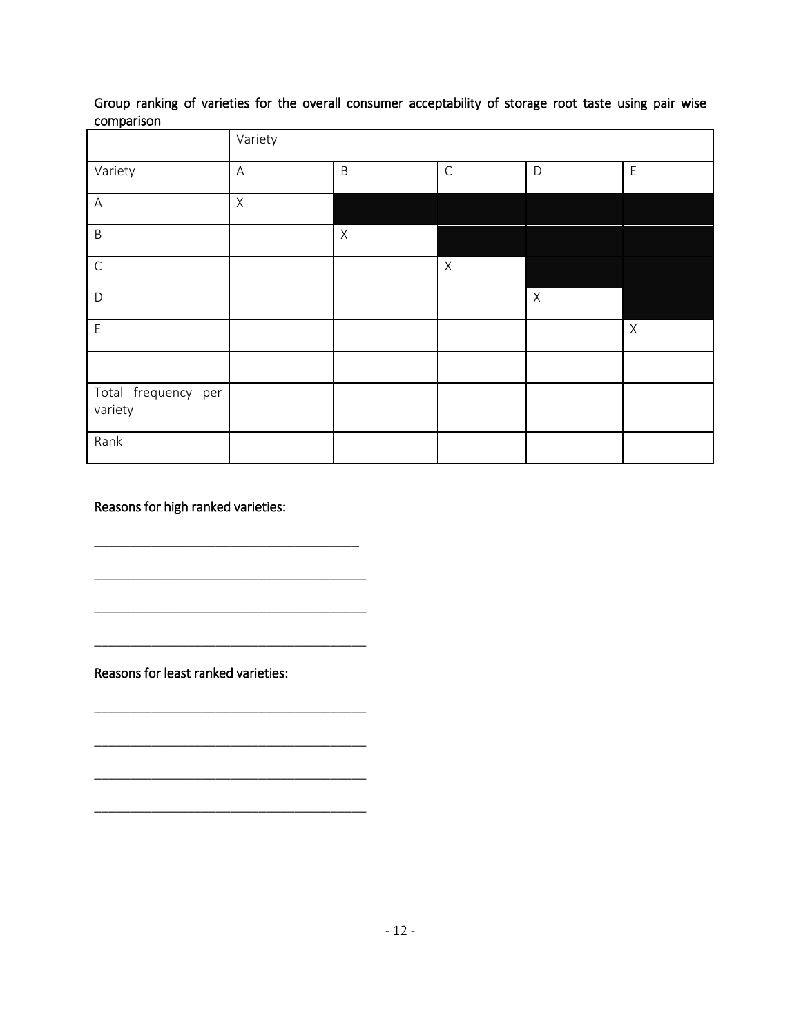Group ranking of varieties for the overall consumer acceptability of storage root taste using pair wise comparison

|                                | Variety     |             |             |             |             |
|--------------------------------|-------------|-------------|-------------|-------------|-------------|
| Variety                        | $\mathsf A$ | $\sf B$     | $\mathsf C$ | $\mathsf D$ | $\mathsf E$ |
| $\mathsf A$                    | $\mathsf X$ |             |             |             |             |
| $\sf B$                        |             | $\mathsf X$ |             |             |             |
| $\mathsf C$                    |             |             | $\mathsf X$ |             |             |
| $\mathsf{D}$                   |             |             |             | $\mathsf X$ |             |
| $\mathsf E$                    |             |             |             |             | $\mathsf X$ |
|                                |             |             |             |             |             |
| Total frequency per<br>variety |             |             |             |             |             |
| Rank                           |             |             |             |             |             |

Reasons for high ranked varieties:

\_\_\_\_\_\_\_\_\_\_\_\_\_\_\_\_\_\_\_\_\_\_\_\_\_\_\_\_\_\_\_\_\_\_\_\_\_

\_\_\_\_\_\_\_\_\_\_\_\_\_\_\_\_\_\_\_\_\_\_\_\_\_\_\_\_\_\_\_\_\_\_\_\_\_\_

\_\_\_\_\_\_\_\_\_\_\_\_\_\_\_\_\_\_\_\_\_\_\_\_\_\_\_\_\_\_\_\_\_\_\_\_\_\_

\_\_\_\_\_\_\_\_\_\_\_\_\_\_\_\_\_\_\_\_\_\_\_\_\_\_\_\_\_\_\_\_\_\_\_\_\_\_

\_\_\_\_\_\_\_\_\_\_\_\_\_\_\_\_\_\_\_\_\_\_\_\_\_\_\_\_\_\_\_\_\_\_\_\_\_\_

\_\_\_\_\_\_\_\_\_\_\_\_\_\_\_\_\_\_\_\_\_\_\_\_\_\_\_\_\_\_\_\_\_\_\_\_\_\_

\_\_\_\_\_\_\_\_\_\_\_\_\_\_\_\_\_\_\_\_\_\_\_\_\_\_\_\_\_\_\_\_\_\_\_\_\_\_

\_\_\_\_\_\_\_\_\_\_\_\_\_\_\_\_\_\_\_\_\_\_\_\_\_\_\_\_\_\_\_\_\_\_\_\_\_\_

Reasons for least ranked varieties: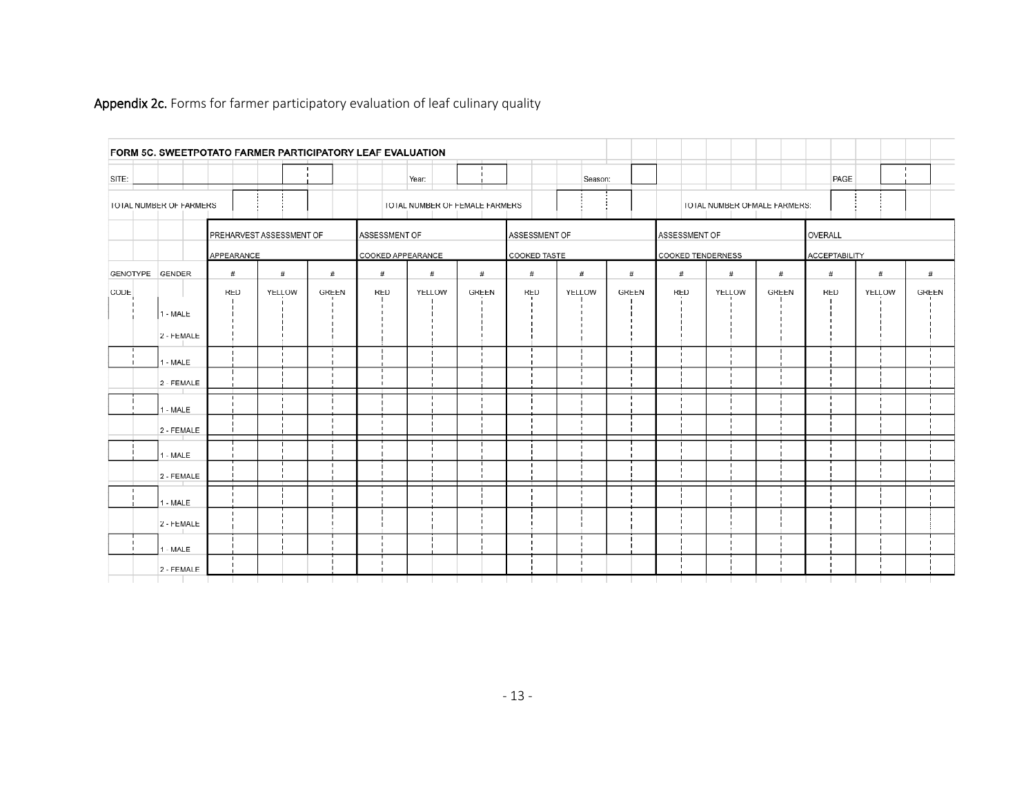|                 |                         |            | FORM 5C. SWEETPOTATO FARMER PARTICIPATORY LEAF EVALUATION |              |                                    |        |                                |                                                            |         |              |            |        |                                 |            |        |              |
|-----------------|-------------------------|------------|-----------------------------------------------------------|--------------|------------------------------------|--------|--------------------------------|------------------------------------------------------------|---------|--------------|------------|--------|---------------------------------|------------|--------|--------------|
| SITE:           |                         |            |                                                           |              |                                    | Year:  |                                |                                                            | Season: |              |            |        |                                 | PAGE       |        |              |
|                 | TOTAL NUMBER OF FARMERS |            |                                                           |              |                                    |        | TOTAL NUMBER OF FEMALE FARMERS |                                                            |         |              |            |        | TOTAL NUMBER OFMALE FARMERS:    |            |        |              |
|                 |                         | APPEARANCE | PREHARVEST ASSESSMENT OF                                  |              | ASSESSMENT OF<br>COOKED APPEARANCE |        |                                | ASSESSMENT OF<br>ASSESSMENT OF<br><b>COOKED TENDERNESS</b> |         |              |            |        | OVERALL<br><b>ACCEPTABILITY</b> |            |        |              |
| GENOTYPE GENDER |                         | #          | #                                                         | #            | #                                  | #      | #                              | COOKED TASTE<br>#                                          | #       | #            | #          | #      | #                               | #          | #      | #            |
| CODE            |                         | <b>RED</b> | YELLOW                                                    | <b>GREEN</b> | <b>RED</b>                         | YELLOW | <b>GREEN</b>                   | <b>RED</b>                                                 | YELLOW  | <b>GREEN</b> | <b>RED</b> | YELLOW | <b>GREEN</b>                    | <b>RED</b> | YELLOW | <b>GREEN</b> |
|                 | 1 - MALE                |            |                                                           |              |                                    |        |                                |                                                            |         |              |            |        |                                 |            |        |              |
|                 | 2 - FEMALE              |            |                                                           |              |                                    |        |                                |                                                            |         |              |            |        |                                 |            |        |              |
|                 | 1 - MALE                |            |                                                           |              |                                    |        |                                |                                                            |         |              |            |        |                                 |            |        |              |
|                 | 2 - FEMALE              |            |                                                           |              |                                    |        |                                |                                                            |         |              |            |        |                                 |            |        |              |
|                 | 1 - MALE                |            |                                                           |              |                                    |        |                                |                                                            |         |              |            |        |                                 |            |        |              |
|                 | 2 - FEMALE              |            |                                                           |              |                                    |        |                                |                                                            |         |              |            |        |                                 |            |        |              |
|                 | 1 - MALE                |            |                                                           |              |                                    |        |                                |                                                            |         |              |            |        |                                 |            |        |              |
|                 | 2 - FEMALE              |            |                                                           |              |                                    |        |                                |                                                            |         |              |            |        |                                 |            |        |              |
|                 | 1 - MALE                |            |                                                           |              |                                    |        |                                |                                                            |         |              |            |        |                                 |            |        |              |
|                 | 2 - FEMALE              |            |                                                           |              |                                    |        |                                |                                                            |         |              |            |        |                                 |            |        |              |
|                 | 1 - MALE                |            |                                                           |              |                                    |        |                                |                                                            |         |              |            |        |                                 |            |        |              |
|                 | 2 - FEMALE              |            |                                                           |              |                                    |        |                                |                                                            |         |              |            |        |                                 |            |        |              |

# Appendix 2c. Forms for farmer participatory evaluation of leaf culinary quality